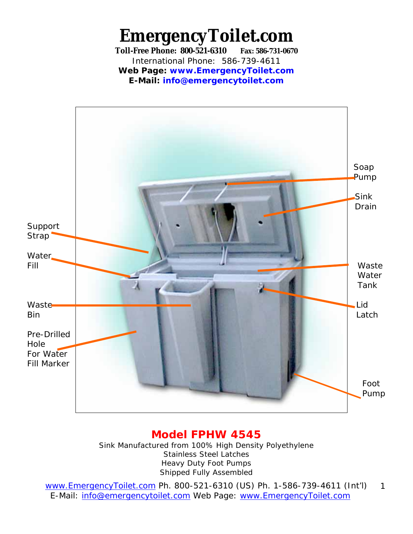**EmergencyToilet.com Toll-Free Phone: 800-521-6310 Fax: 586-731-0670**  International Phone: 586-739-4611 **Web Page: www.EmergencyToilet.com E-Mail: info@emergencytoilet.com**



### **Model FPHW 4545**

Sink Manufactured from 100% High Density Polyethylene Stainless Steel Latches Heavy Duty Foot Pumps Shipped Fully Assembled

www.EmergencyToilet.com Ph. 800-521-6310 (US) Ph. 1-586-739-4611 (Int'l) E-Mail: info@emergencytoilet.com Web Page: www.EmergencyToilet.com 1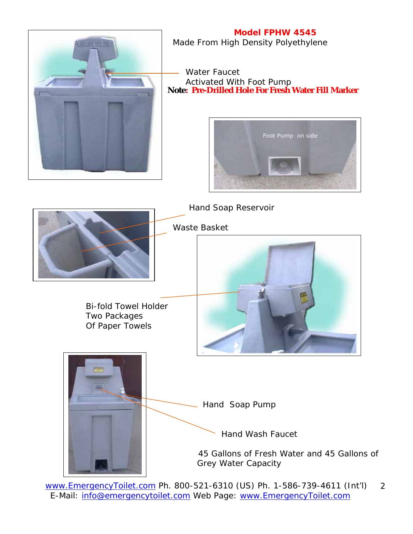

**Model FPHW 4545** Made From High Density Polyethylene

 Water Faucet Activated With Foot Pump **Note: Pre-Drilled Hole For Fresh Water Fill Marker**





www.EmergencyToilet.com Ph. 800-521-6310 (US) Ph. 1-586-739-4611 (Int'l) E-Mail: info@emergencytoilet.com Web Page: www.EmergencyToilet.com 2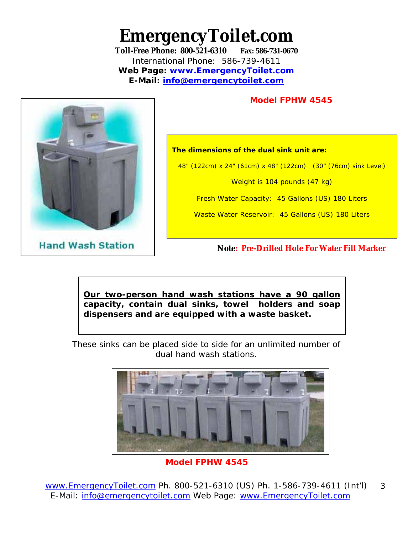# **EmergencyToilet.com**

**Toll-Free Phone: 800-521-6310 Fax: 586-731-0670**  International Phone: 586-739-4611 **Web Page: www.EmergencyToilet.com E-Mail: info@emergencytoilet.com** 

#### **Model FPHW 4545**



**Hand Wash Station** 

**The dimensions of the dual sink unit are:** 

48" (122cm) x 24" (61cm) x 48" (122cm) (30" (76cm) sink Level)

Weight is 104 pounds (47 kg)

Fresh Water Capacity: 45 Gallons (US) 180 Liters

Waste Water Reservoir: 45 Gallons (US) 180 Liters

**Note: Pre-Drilled Hole For Water Fill Marker** 

**Our two-person hand wash stations have a 90 gallon capacity, contain dual sinks, towel holders and soap dispensers and are equipped with a waste basket.** 

These sinks can be placed side to side for an unlimited number of dual hand wash stations.



**Model FPHW 4545**

www.EmergencyToilet.com Ph. 800-521-6310 (US) Ph. 1-586-739-4611 (Int'l) E-Mail: info@emergencytoilet.com Web Page: www.EmergencyToilet.com 3